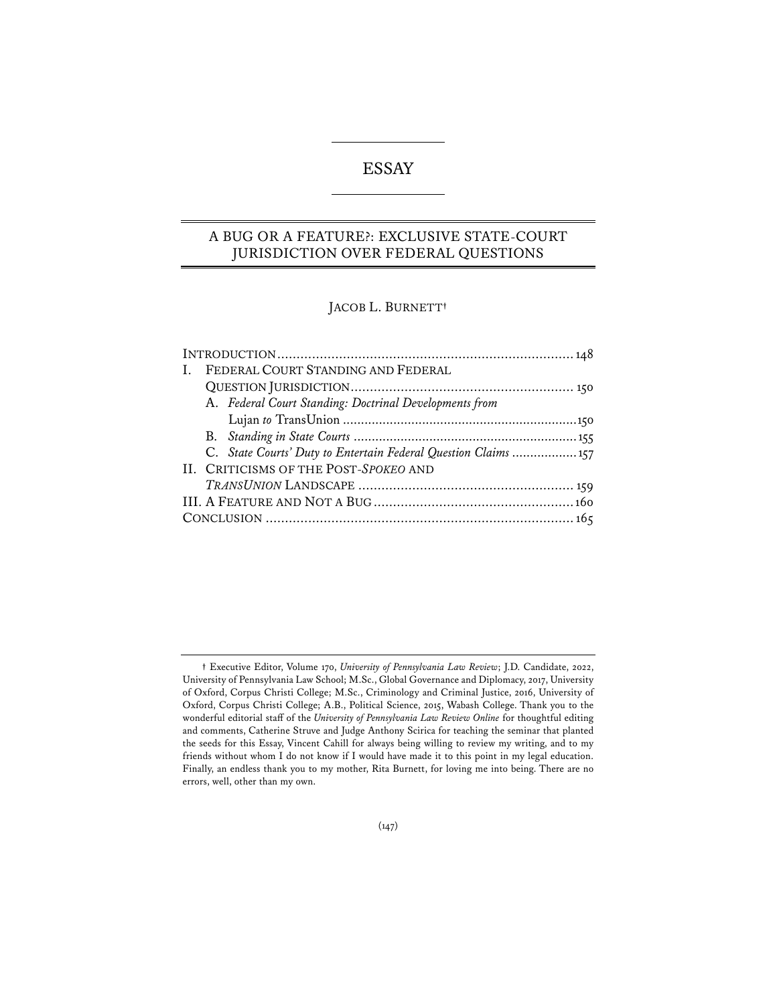# ESSAY

## A BUG OR A FEATURE?: EXCLUSIVE STATE-COURT JURISDICTION OVER FEDERAL QUESTIONS

## JACOB L. BURNETT**†**

| Ι. |  | FEDERAL COURT STANDING AND FEDERAL                             |  |
|----|--|----------------------------------------------------------------|--|
|    |  |                                                                |  |
|    |  | A. Federal Court Standing: Doctrinal Developments from         |  |
|    |  |                                                                |  |
|    |  |                                                                |  |
|    |  | C. State Courts' Duty to Entertain Federal Question Claims 157 |  |
|    |  | II. CRITICISMS OF THE POST-SPOKEO AND                          |  |
|    |  |                                                                |  |
|    |  |                                                                |  |
|    |  |                                                                |  |
|    |  |                                                                |  |

**<sup>†</sup>** Executive Editor, Volume 170, *University of Pennsylvania Law Review*; J.D. Candidate, 2022, University of Pennsylvania Law School; M.Sc., Global Governance and Diplomacy, 2017, University of Oxford, Corpus Christi College; M.Sc., Criminology and Criminal Justice, 2016, University of Oxford, Corpus Christi College; A.B., Political Science, 2015, Wabash College. Thank you to the wonderful editorial staff of the *University of Pennsylvania Law Review Online* for thoughtful editing and comments, Catherine Struve and Judge Anthony Scirica for teaching the seminar that planted the seeds for this Essay, Vincent Cahill for always being willing to review my writing, and to my friends without whom I do not know if I would have made it to this point in my legal education. Finally, an endless thank you to my mother, Rita Burnett, for loving me into being. There are no errors, well, other than my own.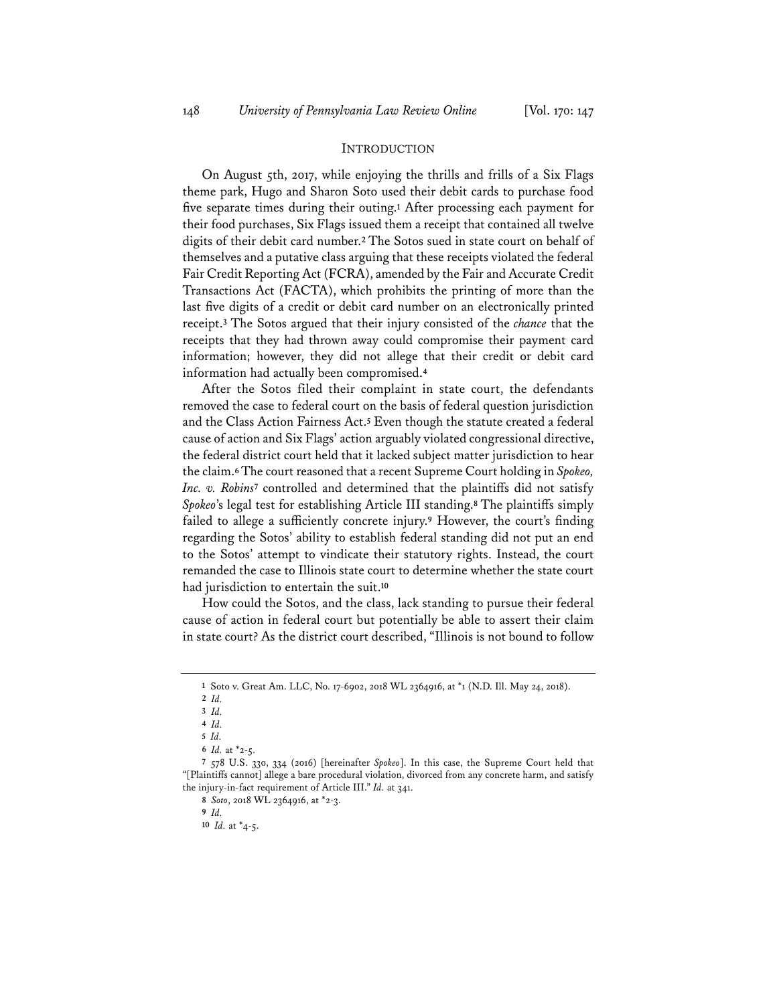## INTRODUCTION

On August 5th, 2017, while enjoying the thrills and frills of a Six Flags theme park, Hugo and Sharon Soto used their debit cards to purchase food five separate times during their outing.**<sup>1</sup>** After processing each payment for their food purchases, Six Flags issued them a receipt that contained all twelve digits of their debit card number.**<sup>2</sup>** The Sotos sued in state court on behalf of themselves and a putative class arguing that these receipts violated the federal Fair Credit Reporting Act (FCRA), amended by the Fair and Accurate Credit Transactions Act (FACTA), which prohibits the printing of more than the last five digits of a credit or debit card number on an electronically printed receipt.**<sup>3</sup>** The Sotos argued that their injury consisted of the *chance* that the receipts that they had thrown away could compromise their payment card information; however, they did not allege that their credit or debit card information had actually been compromised.**<sup>4</sup>**

After the Sotos filed their complaint in state court, the defendants removed the case to federal court on the basis of federal question jurisdiction and the Class Action Fairness Act.**<sup>5</sup>** Even though the statute created a federal cause of action and Six Flags' action arguably violated congressional directive, the federal district court held that it lacked subject matter jurisdiction to hear the claim.**6**The court reasoned that a recent Supreme Court holding in *Spokeo, Inc. v. Robins***<sup>7</sup>** controlled and determined that the plaintiffs did not satisfy *Spokeo*'s legal test for establishing Article III standing.**<sup>8</sup>** The plaintiffs simply failed to allege a sufficiently concrete injury.**<sup>9</sup>** However, the court's finding regarding the Sotos' ability to establish federal standing did not put an end to the Sotos' attempt to vindicate their statutory rights. Instead, the court remanded the case to Illinois state court to determine whether the state court had jurisdiction to entertain the suit.**<sup>10</sup>**

How could the Sotos, and the class, lack standing to pursue their federal cause of action in federal court but potentially be able to assert their claim in state court? As the district court described, "Illinois is not bound to follow

**<sup>1</sup>** Soto v. Great Am. LLC, No. 17-6902, 2018 WL 2364916, at \*1 (N.D. Ill. May 24, 2018).

**<sup>2</sup>** *Id.*

**<sup>3</sup>** *Id.*

**<sup>4</sup>** *Id.*

**<sup>5</sup>** *Id.*

**<sup>6</sup>** *Id.* at \*2-5.

**<sup>7</sup>** 578 U.S. 330, 334 (2016) [hereinafter *Spokeo*]. In this case, the Supreme Court held that "[Plaintiffs cannot] allege a bare procedural violation, divorced from any concrete harm, and satisfy the injury-in-fact requirement of Article III." *Id.* at 341.

**<sup>8</sup>** *Soto*, 2018 WL 2364916, at \*2-3.

**<sup>9</sup>** *Id.*

**<sup>10</sup>** *Id.* at \*4-5.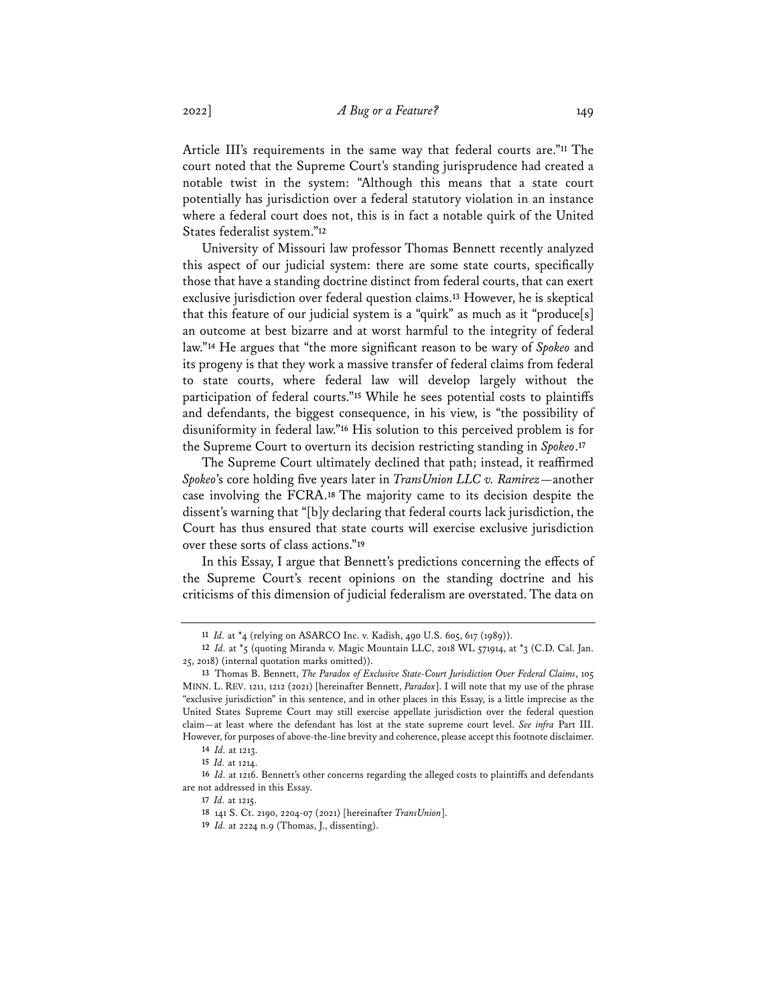Article III's requirements in the same way that federal courts are."**<sup>11</sup>** The court noted that the Supreme Court's standing jurisprudence had created a notable twist in the system: "Although this means that a state court potentially has jurisdiction over a federal statutory violation in an instance where a federal court does not, this is in fact a notable quirk of the United States federalist system."**<sup>12</sup>**

University of Missouri law professor Thomas Bennett recently analyzed this aspect of our judicial system: there are some state courts, specifically those that have a standing doctrine distinct from federal courts, that can exert exclusive jurisdiction over federal question claims.**<sup>13</sup>** However, he is skeptical that this feature of our judicial system is a "quirk" as much as it "produce[s] an outcome at best bizarre and at worst harmful to the integrity of federal law."**<sup>14</sup>** He argues that "the more significant reason to be wary of *Spokeo* and its progeny is that they work a massive transfer of federal claims from federal to state courts, where federal law will develop largely without the participation of federal courts."**<sup>15</sup>** While he sees potential costs to plaintiffs and defendants, the biggest consequence, in his view, is "the possibility of disuniformity in federal law."**<sup>16</sup>** His solution to this perceived problem is for the Supreme Court to overturn its decision restricting standing in *Spokeo*.**<sup>17</sup>**

The Supreme Court ultimately declined that path; instead, it reaffirmed *Spokeo*'s core holding five years later in *TransUnion LLC v. Ramirez*—another case involving the FCRA.**<sup>18</sup>** The majority came to its decision despite the dissent's warning that "[b]y declaring that federal courts lack jurisdiction, the Court has thus ensured that state courts will exercise exclusive jurisdiction over these sorts of class actions."**<sup>19</sup>**

In this Essay, I argue that Bennett's predictions concerning the effects of the Supreme Court's recent opinions on the standing doctrine and his criticisms of this dimension of judicial federalism are overstated. The data on

**<sup>11</sup>** *Id.* at \*4 (relying on ASARCO Inc. v. Kadish, 490 U.S. 605, 617 (1989)).

**<sup>12</sup>** *Id.* at \*5 (quoting Miranda v. Magic Mountain LLC, 2018 WL 571914, at \*3 (C.D. Cal. Jan. 25, 2018) (internal quotation marks omitted)).

**<sup>13</sup>** Thomas B. Bennett, *The Paradox of Exclusive State-Court Jurisdiction Over Federal Claims*, 105 MINN. L. REV. 1211, 1212 (2021) [hereinafter Bennett, *Paradox*]. I will note that my use of the phrase "exclusive jurisdiction" in this sentence, and in other places in this Essay, is a little imprecise as the United States Supreme Court may still exercise appellate jurisdiction over the federal question claim—at least where the defendant has lost at the state supreme court level. *See infra* Part III. However, for purposes of above-the-line brevity and coherence, please accept this footnote disclaimer.

**<sup>14</sup>** *Id.* at 1213.

**<sup>15</sup>** *Id.* at 1214.

**<sup>16</sup>** *Id.* at 1216. Bennett's other concerns regarding the alleged costs to plaintiffs and defendants are not addressed in this Essay.

**<sup>17</sup>** *Id.* at 1215.

**<sup>18</sup>** 141 S. Ct. 2190, 2204-07 (2021) [hereinafter *TransUnion*].

**<sup>19</sup>** *Id.* at 2224 n.9 (Thomas, J., dissenting).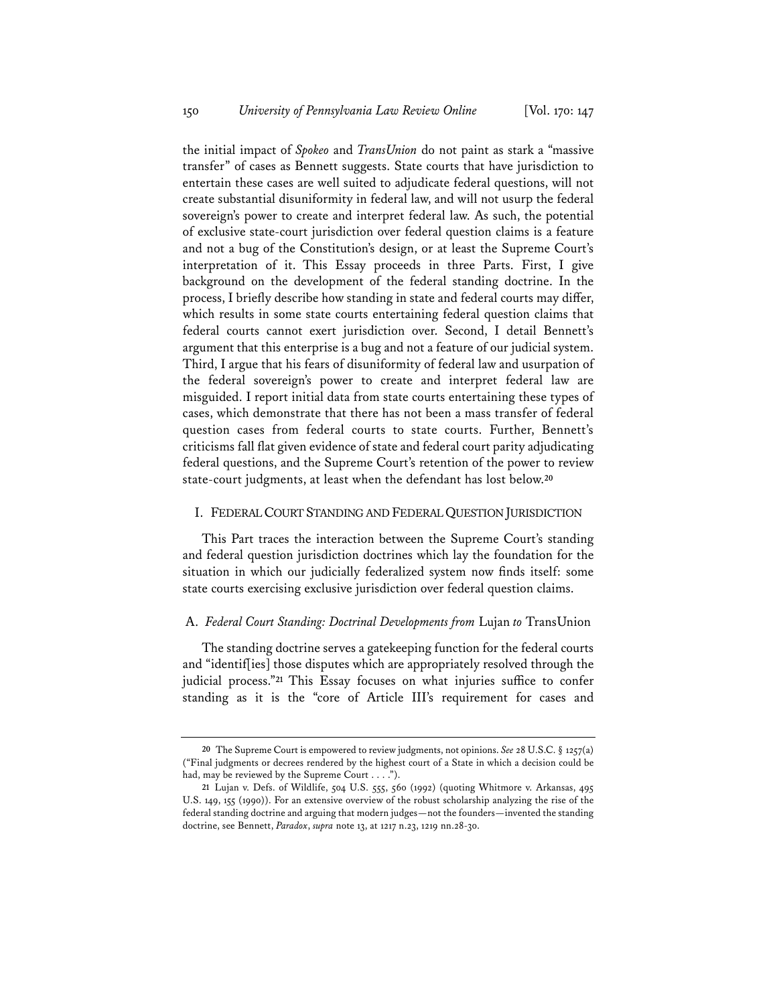the initial impact of *Spokeo* and *TransUnion* do not paint as stark a "massive transfer" of cases as Bennett suggests. State courts that have jurisdiction to entertain these cases are well suited to adjudicate federal questions, will not create substantial disuniformity in federal law, and will not usurp the federal sovereign's power to create and interpret federal law. As such, the potential of exclusive state-court jurisdiction over federal question claims is a feature and not a bug of the Constitution's design, or at least the Supreme Court's interpretation of it. This Essay proceeds in three Parts. First, I give background on the development of the federal standing doctrine. In the process, I briefly describe how standing in state and federal courts may differ, which results in some state courts entertaining federal question claims that federal courts cannot exert jurisdiction over. Second, I detail Bennett's argument that this enterprise is a bug and not a feature of our judicial system. Third, I argue that his fears of disuniformity of federal law and usurpation of the federal sovereign's power to create and interpret federal law are misguided. I report initial data from state courts entertaining these types of cases, which demonstrate that there has not been a mass transfer of federal question cases from federal courts to state courts. Further, Bennett's criticisms fall flat given evidence of state and federal court parity adjudicating federal questions, and the Supreme Court's retention of the power to review state-court judgments, at least when the defendant has lost below.**<sup>20</sup>**

## I. FEDERAL COURT STANDING AND FEDERALQUESTION JURISDICTION

This Part traces the interaction between the Supreme Court's standing and federal question jurisdiction doctrines which lay the foundation for the situation in which our judicially federalized system now finds itself: some state courts exercising exclusive jurisdiction over federal question claims.

## A. *Federal Court Standing: Doctrinal Developments from* Lujan *to* TransUnion

The standing doctrine serves a gatekeeping function for the federal courts and "identif[ies] those disputes which are appropriately resolved through the judicial process."**<sup>21</sup>** This Essay focuses on what injuries suffice to confer standing as it is the "core of Article III's requirement for cases and

**<sup>20</sup>** The Supreme Court is empowered to review judgments, not opinions. *See* 28 U.S.C. § 1257(a) ("Final judgments or decrees rendered by the highest court of a State in which a decision could be had, may be reviewed by the Supreme Court . . . .").

**<sup>21</sup>** Lujan v. Defs. of Wildlife, 504 U.S. 555, 560 (1992) (quoting Whitmore v. Arkansas, 495 U.S. 149, 155 (1990)). For an extensive overview of the robust scholarship analyzing the rise of the federal standing doctrine and arguing that modern judges—not the founders—invented the standing doctrine, see Bennett, *Paradox*, *supra* note 13, at 1217 n.23, 1219 nn.28-30.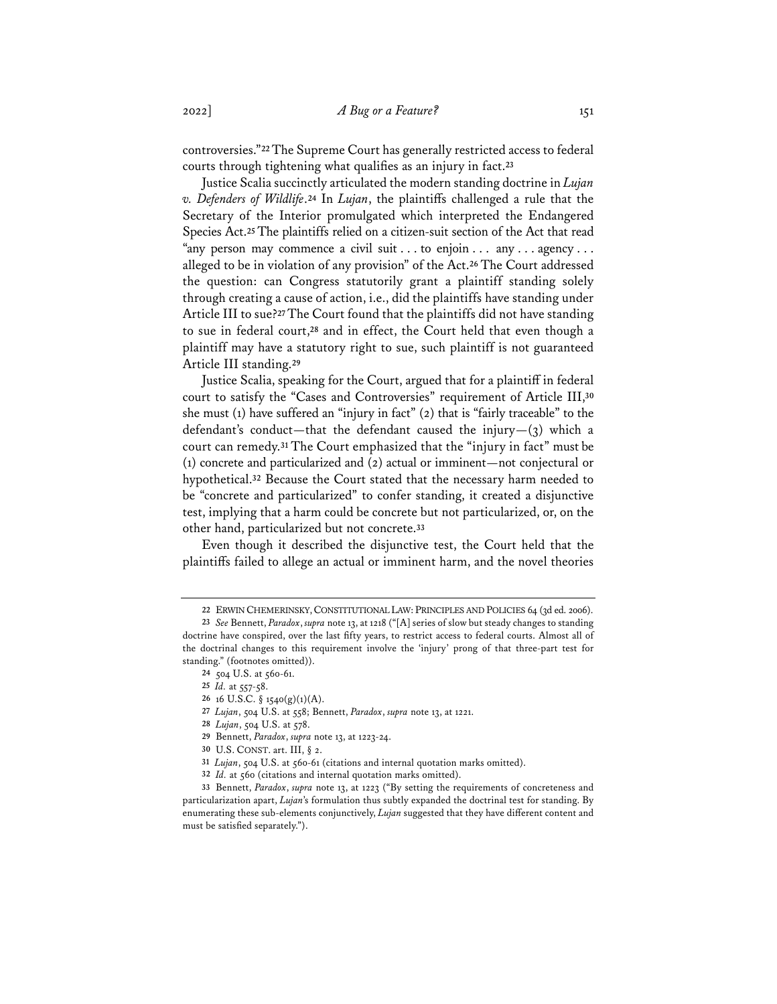controversies."**22**The Supreme Court has generally restricted access to federal courts through tightening what qualifies as an injury in fact.**<sup>23</sup>**

Justice Scalia succinctly articulated the modern standing doctrine in *Lujan v. Defenders of Wildlife*.**<sup>24</sup>** In *Lujan*, the plaintiffs challenged a rule that the Secretary of the Interior promulgated which interpreted the Endangered Species Act.**<sup>25</sup>** The plaintiffs relied on a citizen-suit section of the Act that read "any person may commence a civil suit . . . to enjoin . . . any . . . agency . . . alleged to be in violation of any provision" of the Act.**<sup>26</sup>** The Court addressed the question: can Congress statutorily grant a plaintiff standing solely through creating a cause of action, i.e., did the plaintiffs have standing under Article III to sue?**27**The Court found that the plaintiffs did not have standing to sue in federal court,**<sup>28</sup>** and in effect, the Court held that even though a plaintiff may have a statutory right to sue, such plaintiff is not guaranteed Article III standing.**<sup>29</sup>**

Justice Scalia, speaking for the Court, argued that for a plaintiff in federal court to satisfy the "Cases and Controversies" requirement of Article III,**<sup>30</sup>** she must (1) have suffered an "injury in fact" (2) that is "fairly traceable" to the defendant's conduct—that the defendant caused the injury— $(3)$  which a court can remedy.**<sup>31</sup>** The Court emphasized that the "injury in fact" must be (1) concrete and particularized and (2) actual or imminent—not conjectural or hypothetical.**<sup>32</sup>** Because the Court stated that the necessary harm needed to be "concrete and particularized" to confer standing, it created a disjunctive test, implying that a harm could be concrete but not particularized, or, on the other hand, particularized but not concrete.**<sup>33</sup>**

Even though it described the disjunctive test, the Court held that the plaintiffs failed to allege an actual or imminent harm, and the novel theories

**<sup>22</sup>** ERWIN CHEMERINSKY,CONSTITUTIONAL LAW: PRINCIPLES AND POLICIES 64 (3d ed. 2006).

**<sup>23</sup>** *See* Bennett, *Paradox*, *supra* note 13, at 1218 ("[A] series of slow but steady changes to standing doctrine have conspired, over the last fifty years, to restrict access to federal courts. Almost all of the doctrinal changes to this requirement involve the 'injury' prong of that three-part test for standing." (footnotes omitted)).

**<sup>24</sup>** 504 U.S. at 560-61.

**<sup>25</sup>** *Id.* at 557-58.

**<sup>26</sup>** 16 U.S.C. § 1540(g)(1)(A).

**<sup>27</sup>** *Lujan*, 504 U.S. at 558; Bennett, *Paradox*, *supra* note 13, at 1221.

**<sup>28</sup>** *Lujan*, 504 U.S. at 578.

**<sup>29</sup>** Bennett, *Paradox*, *supra* note 13, at 1223-24.

**<sup>30</sup>** U.S. CONST. art. III, § 2.

**<sup>31</sup>** *Lujan*, 504 U.S. at 560-61 (citations and internal quotation marks omitted).

**<sup>32</sup>** *Id.* at 560 (citations and internal quotation marks omitted).

**<sup>33</sup>** Bennett, *Paradox*, *supra* note 13, at 1223 ("By setting the requirements of concreteness and particularization apart, *Lujan*'s formulation thus subtly expanded the doctrinal test for standing. By enumerating these sub-elements conjunctively, *Lujan* suggested that they have different content and must be satisfied separately.").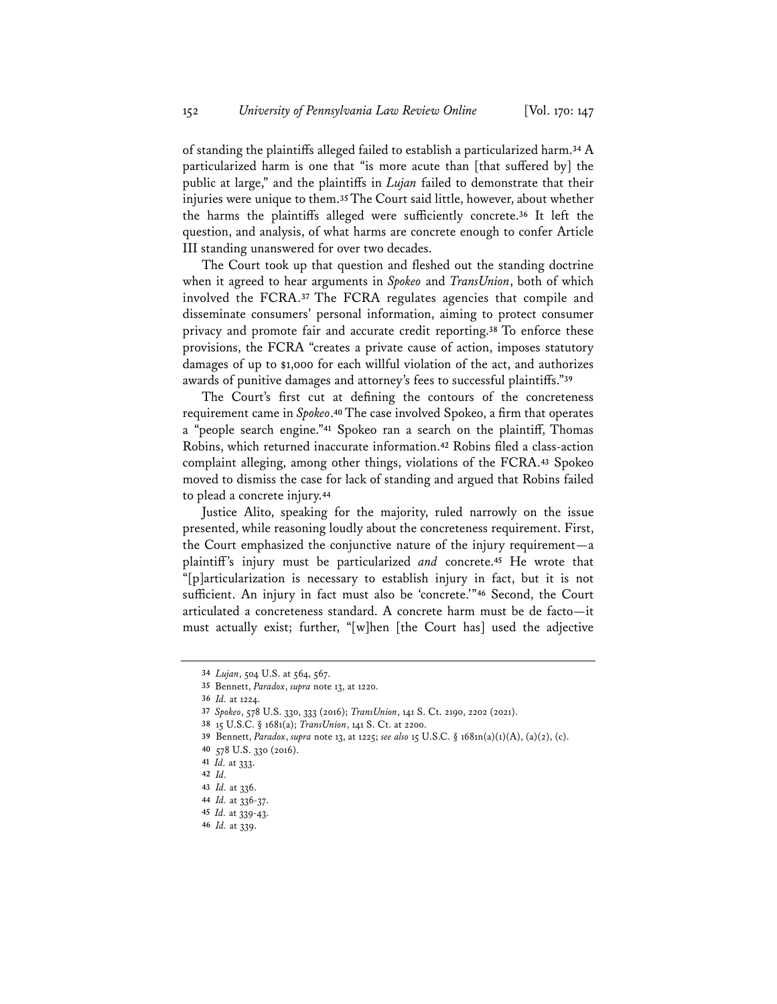of standing the plaintiffs alleged failed to establish a particularized harm.**<sup>34</sup>** A particularized harm is one that "is more acute than [that suffered by] the public at large," and the plaintiffs in *Lujan* failed to demonstrate that their injuries were unique to them.**35**The Court said little, however, about whether the harms the plaintiffs alleged were sufficiently concrete.**<sup>36</sup>** It left the question, and analysis, of what harms are concrete enough to confer Article III standing unanswered for over two decades.

The Court took up that question and fleshed out the standing doctrine when it agreed to hear arguments in *Spokeo* and *TransUnion*, both of which involved the FCRA.**<sup>37</sup>** The FCRA regulates agencies that compile and disseminate consumers' personal information, aiming to protect consumer privacy and promote fair and accurate credit reporting.**<sup>38</sup>** To enforce these provisions, the FCRA "creates a private cause of action, imposes statutory damages of up to \$1,000 for each willful violation of the act, and authorizes awards of punitive damages and attorney's fees to successful plaintiffs."**<sup>39</sup>**

The Court's first cut at defining the contours of the concreteness requirement came in *Spokeo*.**<sup>40</sup>** The case involved Spokeo, a firm that operates a "people search engine."**<sup>41</sup>** Spokeo ran a search on the plaintiff, Thomas Robins, which returned inaccurate information.**<sup>42</sup>** Robins filed a class-action complaint alleging, among other things, violations of the FCRA.**<sup>43</sup>** Spokeo moved to dismiss the case for lack of standing and argued that Robins failed to plead a concrete injury.**<sup>44</sup>**

Justice Alito, speaking for the majority, ruled narrowly on the issue presented, while reasoning loudly about the concreteness requirement. First, the Court emphasized the conjunctive nature of the injury requirement—a plaintiff's injury must be particularized *and* concrete.**<sup>45</sup>** He wrote that "[p]articularization is necessary to establish injury in fact, but it is not sufficient. An injury in fact must also be 'concrete.'"**<sup>46</sup>** Second, the Court articulated a concreteness standard. A concrete harm must be de facto—it must actually exist; further, "[w]hen [the Court has] used the adjective

**<sup>34</sup>** *Lujan*, 504 U.S. at 564, 567.

**<sup>35</sup>** Bennett, *Paradox*, *supra* note 13, at 1220.

**<sup>36</sup>** *Id.* at 1224.

**<sup>37</sup>** *Spokeo*, 578 U.S. 330, 333 (2016); *TransUnion*, 141 S. Ct. 2190, 2202 (2021).

**<sup>38</sup>** 15 U.S.C. § 1681(a); *TransUnion*, 141 S. Ct. at 2200.

**<sup>39</sup>** Bennett, *Paradox*, *supra* note 13, at 1225; *see also* 15 U.S.C. § 1681n(a)(1)(A), (a)(2), (c).

**<sup>40</sup>** 578 U.S. 330 (2016).

**<sup>41</sup>** *Id.* at 333.

**<sup>42</sup>** *Id.*

**<sup>43</sup>** *Id.* at 336.

**<sup>44</sup>** *Id.* at 336-37.

**<sup>45</sup>** *Id.* at 339-43.

**<sup>46</sup>** *Id.* at 339.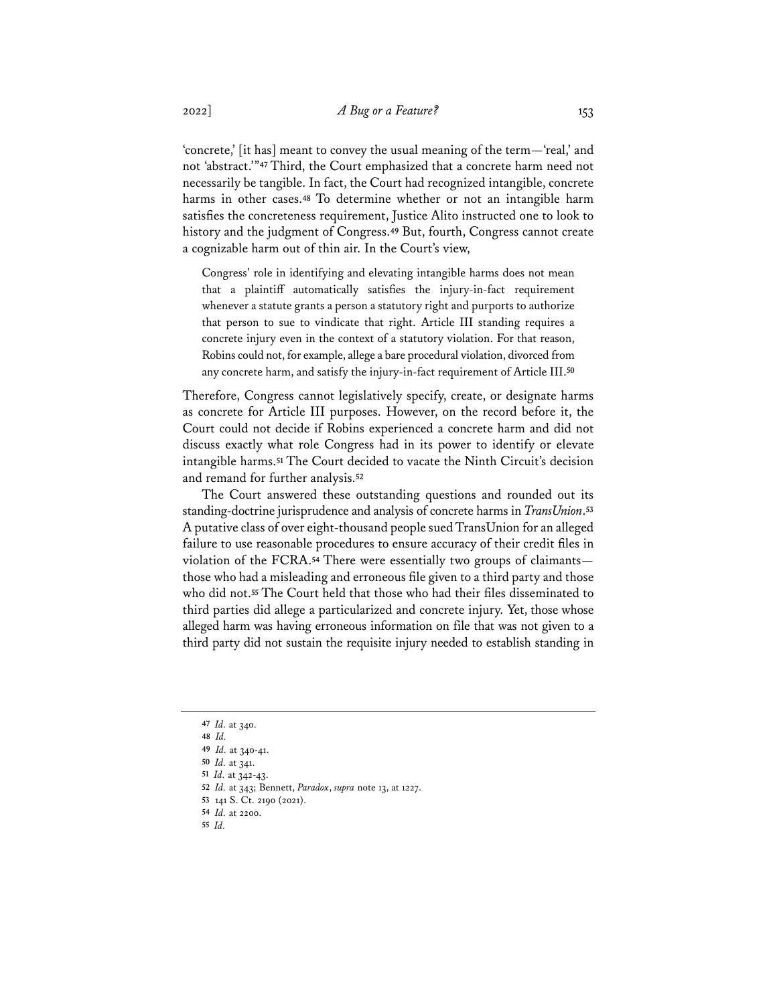'concrete,' [it has] meant to convey the usual meaning of the term—'real,' and not 'abstract.'"**<sup>47</sup>** Third, the Court emphasized that a concrete harm need not necessarily be tangible. In fact, the Court had recognized intangible, concrete harms in other cases.**<sup>48</sup>** To determine whether or not an intangible harm satisfies the concreteness requirement, Justice Alito instructed one to look to history and the judgment of Congress.**<sup>49</sup>** But, fourth, Congress cannot create a cognizable harm out of thin air. In the Court's view,

Congress' role in identifying and elevating intangible harms does not mean that a plaintiff automatically satisfies the injury-in-fact requirement whenever a statute grants a person a statutory right and purports to authorize that person to sue to vindicate that right. Article III standing requires a concrete injury even in the context of a statutory violation. For that reason, Robins could not, for example, allege a bare procedural violation, divorced from any concrete harm, and satisfy the injury-in-fact requirement of Article III.**<sup>50</sup>**

Therefore, Congress cannot legislatively specify, create, or designate harms as concrete for Article III purposes. However, on the record before it, the Court could not decide if Robins experienced a concrete harm and did not discuss exactly what role Congress had in its power to identify or elevate intangible harms.**<sup>51</sup>** The Court decided to vacate the Ninth Circuit's decision and remand for further analysis.**<sup>52</sup>**

The Court answered these outstanding questions and rounded out its standing-doctrine jurisprudence and analysis of concrete harms in *TransUnion*.**<sup>53</sup>** A putative class of over eight-thousand people sued TransUnion for an alleged failure to use reasonable procedures to ensure accuracy of their credit files in violation of the FCRA.**<sup>54</sup>** There were essentially two groups of claimants those who had a misleading and erroneous file given to a third party and those who did not.**<sup>55</sup>** The Court held that those who had their files disseminated to third parties did allege a particularized and concrete injury. Yet, those whose alleged harm was having erroneous information on file that was not given to a third party did not sustain the requisite injury needed to establish standing in

**<sup>47</sup>** *Id.* at 340.

**<sup>48</sup>** *Id.*

**<sup>49</sup>** *Id.* at 340-41.

**<sup>50</sup>** *Id.* at 341.

**<sup>51</sup>** *Id.* at 342-43.

**<sup>52</sup>** *Id.* at 343; Bennett, *Paradox*, *supra* note 13, at 1227.

**<sup>53</sup>** 141 S. Ct. 2190 (2021).

**<sup>54</sup>** *Id.* at 2200.

**<sup>55</sup>** *Id.*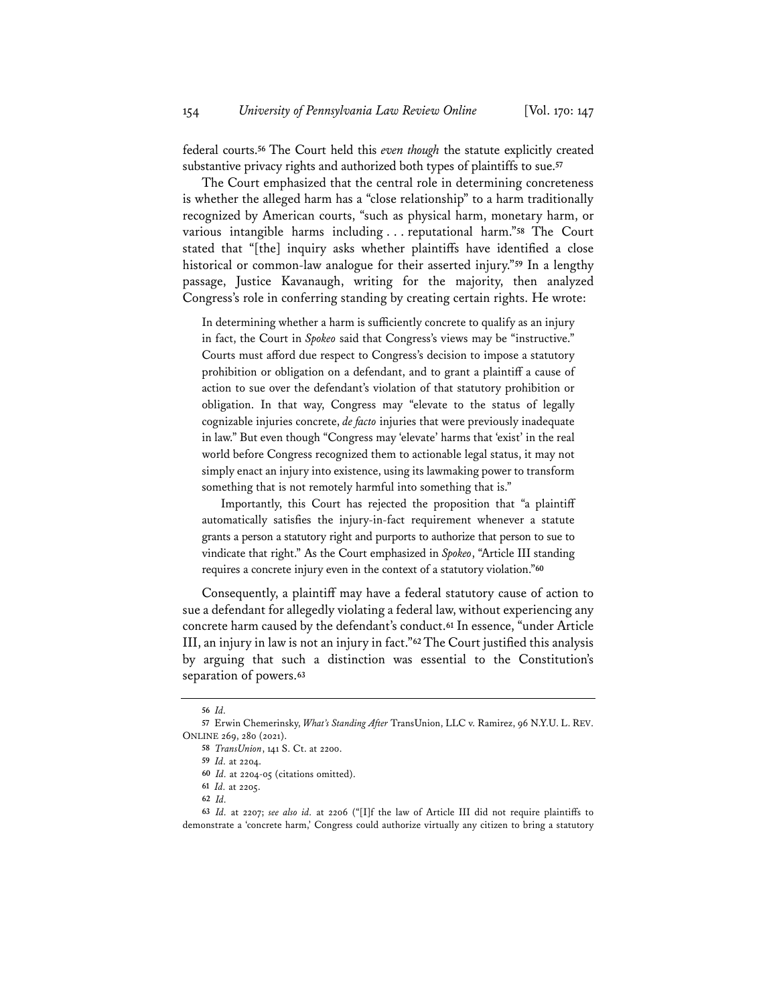federal courts.**<sup>56</sup>** The Court held this *even though* the statute explicitly created substantive privacy rights and authorized both types of plaintiffs to sue.**<sup>57</sup>**

The Court emphasized that the central role in determining concreteness is whether the alleged harm has a "close relationship" to a harm traditionally recognized by American courts, "such as physical harm, monetary harm, or various intangible harms including . . . reputational harm."**<sup>58</sup>** The Court stated that "[the] inquiry asks whether plaintiffs have identified a close historical or common-law analogue for their asserted injury."**<sup>59</sup>** In a lengthy passage, Justice Kavanaugh, writing for the majority, then analyzed Congress's role in conferring standing by creating certain rights. He wrote:

In determining whether a harm is sufficiently concrete to qualify as an injury in fact, the Court in *Spokeo* said that Congress's views may be "instructive." Courts must afford due respect to Congress's decision to impose a statutory prohibition or obligation on a defendant, and to grant a plaintiff a cause of action to sue over the defendant's violation of that statutory prohibition or obligation. In that way, Congress may "elevate to the status of legally cognizable injuries concrete, *de facto* injuries that were previously inadequate in law." But even though "Congress may 'elevate' harms that 'exist' in the real world before Congress recognized them to actionable legal status, it may not simply enact an injury into existence, using its lawmaking power to transform something that is not remotely harmful into something that is."

Importantly, this Court has rejected the proposition that "a plaintiff automatically satisfies the injury-in-fact requirement whenever a statute grants a person a statutory right and purports to authorize that person to sue to vindicate that right." As the Court emphasized in *Spokeo*, "Article III standing requires a concrete injury even in the context of a statutory violation."**<sup>60</sup>**

Consequently, a plaintiff may have a federal statutory cause of action to sue a defendant for allegedly violating a federal law, without experiencing any concrete harm caused by the defendant's conduct.**<sup>61</sup>** In essence, "under Article III, an injury in law is not an injury in fact."**62**The Court justified this analysis by arguing that such a distinction was essential to the Constitution's separation of powers.**<sup>63</sup>**

**<sup>56</sup>** *Id.*

**<sup>57</sup>** Erwin Chemerinsky, *What's Standing After* TransUnion, LLC v. Ramirez, 96 N.Y.U. L. REV. ONLINE 269, 280 (2021).

**<sup>58</sup>** *TransUnion*, 141 S. Ct. at 2200.

**<sup>59</sup>** *Id.* at 2204.

**<sup>60</sup>** *Id.* at 2204-05 (citations omitted).

**<sup>61</sup>** *Id.* at 2205.

**<sup>62</sup>** *Id.*

**<sup>63</sup>** *Id.* at 2207; *see also id.* at 2206 ("[I]f the law of Article III did not require plaintiffs to demonstrate a 'concrete harm,' Congress could authorize virtually any citizen to bring a statutory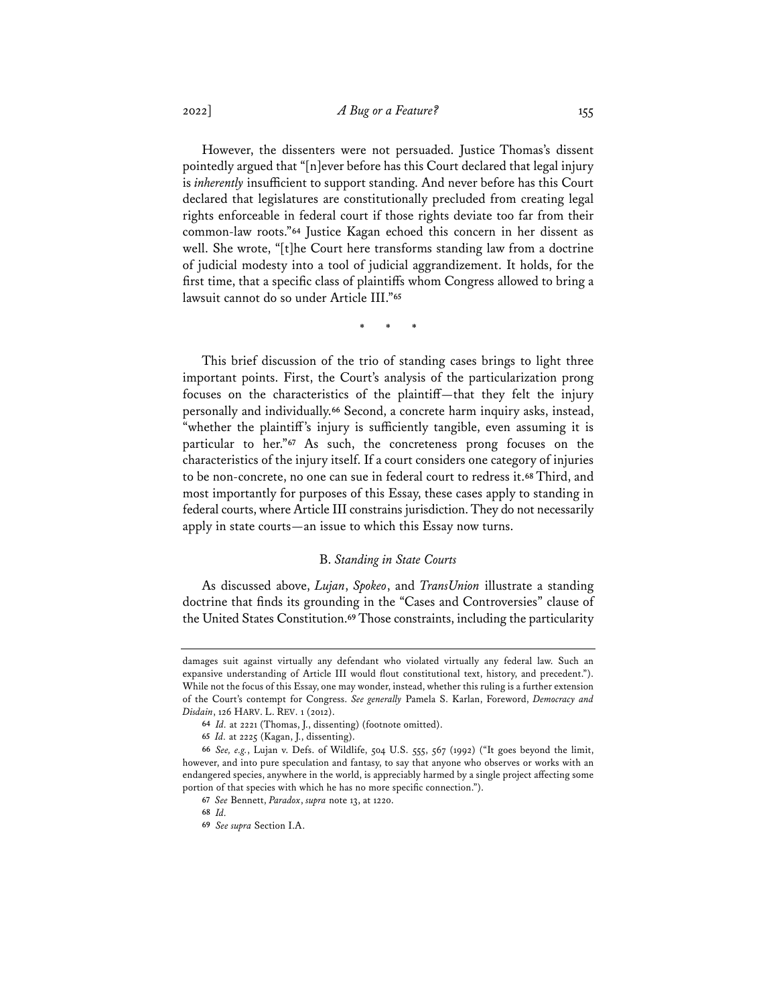However, the dissenters were not persuaded. Justice Thomas's dissent pointedly argued that "[n]ever before has this Court declared that legal injury is *inherently* insufficient to support standing. And never before has this Court declared that legislatures are constitutionally precluded from creating legal rights enforceable in federal court if those rights deviate too far from their common-law roots."**<sup>64</sup>** Justice Kagan echoed this concern in her dissent as well. She wrote, "[t]he Court here transforms standing law from a doctrine of judicial modesty into a tool of judicial aggrandizement. It holds, for the first time, that a specific class of plaintiffs whom Congress allowed to bring a lawsuit cannot do so under Article III."**<sup>65</sup>**

\* \* \*

This brief discussion of the trio of standing cases brings to light three important points. First, the Court's analysis of the particularization prong focuses on the characteristics of the plaintiff—that they felt the injury personally and individually.**<sup>66</sup>** Second, a concrete harm inquiry asks, instead, "whether the plaintiff's injury is sufficiently tangible, even assuming it is particular to her."**<sup>67</sup>** As such, the concreteness prong focuses on the characteristics of the injury itself. If a court considers one category of injuries to be non-concrete, no one can sue in federal court to redress it.**<sup>68</sup>** Third, and most importantly for purposes of this Essay, these cases apply to standing in federal courts, where Article III constrains jurisdiction. They do not necessarily apply in state courts—an issue to which this Essay now turns.

## B. *Standing in State Courts*

As discussed above, *Lujan*, *Spokeo*, and *TransUnion* illustrate a standing doctrine that finds its grounding in the "Cases and Controversies" clause of the United States Constitution.**<sup>69</sup>** Those constraints, including the particularity

damages suit against virtually any defendant who violated virtually any federal law. Such an expansive understanding of Article III would flout constitutional text, history, and precedent."). While not the focus of this Essay, one may wonder, instead, whether this ruling is a further extension of the Court's contempt for Congress. *See generally* Pamela S. Karlan, Foreword, *Democracy and Disdain*, 126 HARV. L. REV. 1 (2012).

**<sup>64</sup>** *Id.* at 2221 (Thomas, J., dissenting) (footnote omitted).

**<sup>65</sup>** *Id.* at 2225 (Kagan, J., dissenting).

**<sup>66</sup>** *See, e.g.*, Lujan v. Defs. of Wildlife, 504 U.S. 555, 567 (1992) ("It goes beyond the limit, however, and into pure speculation and fantasy, to say that anyone who observes or works with an endangered species, anywhere in the world, is appreciably harmed by a single project affecting some portion of that species with which he has no more specific connection.").

**<sup>67</sup>** *See* Bennett, *Paradox*, *supra* note 13, at 1220.

**<sup>68</sup>** *Id.*

**<sup>69</sup>** *See supra* Section I.A.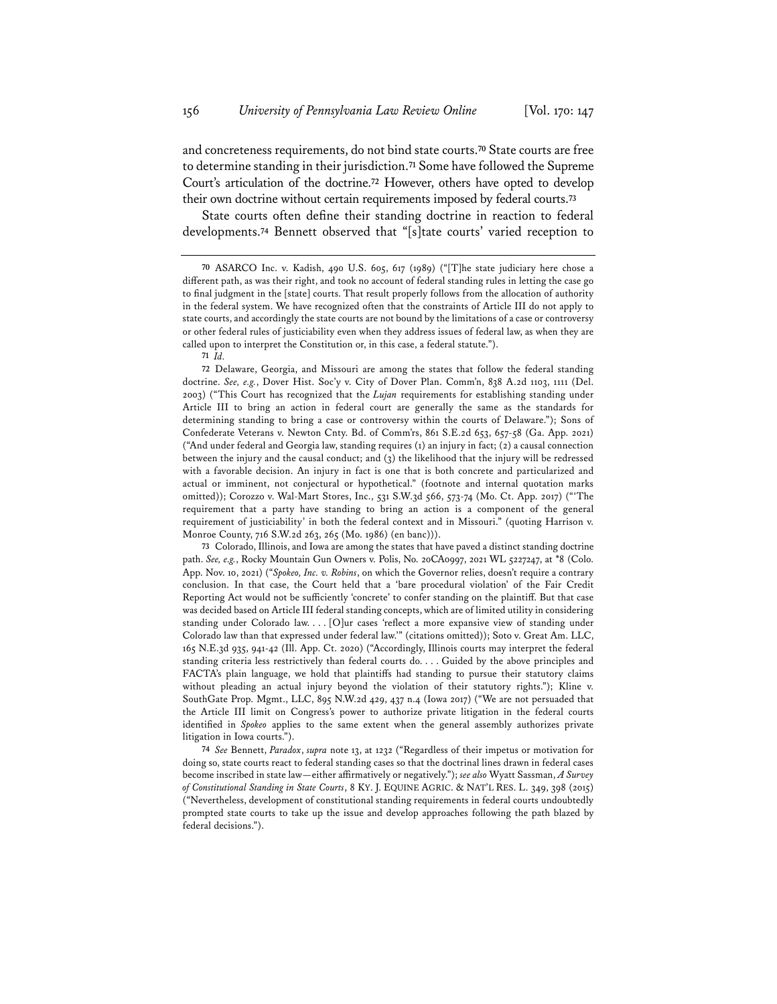and concreteness requirements, do not bind state courts.**<sup>70</sup>** State courts are free to determine standing in their jurisdiction.**<sup>71</sup>** Some have followed the Supreme Court's articulation of the doctrine.**<sup>72</sup>** However, others have opted to develop their own doctrine without certain requirements imposed by federal courts.**<sup>73</sup>**

State courts often define their standing doctrine in reaction to federal developments.**<sup>74</sup>** Bennett observed that "[s]tate courts' varied reception to

**72** Delaware, Georgia, and Missouri are among the states that follow the federal standing doctrine. *See, e.g.*, Dover Hist. Soc'y v. City of Dover Plan. Comm'n, 838 A.2d 1103, 1111 (Del. 2003) ("This Court has recognized that the *Lujan* requirements for establishing standing under Article III to bring an action in federal court are generally the same as the standards for determining standing to bring a case or controversy within the courts of Delaware."); Sons of Confederate Veterans v. Newton Cnty. Bd. of Comm'rs, 861 S.E.2d 653, 657-58 (Ga. App. 2021) ("And under federal and Georgia law, standing requires (1) an injury in fact; (2) a causal connection between the injury and the causal conduct; and (3) the likelihood that the injury will be redressed with a favorable decision. An injury in fact is one that is both concrete and particularized and actual or imminent, not conjectural or hypothetical." (footnote and internal quotation marks omitted)); Corozzo v. Wal-Mart Stores, Inc., 531 S.W.3d 566, 573-74 (Mo. Ct. App. 2017) ("'The requirement that a party have standing to bring an action is a component of the general requirement of justiciability' in both the federal context and in Missouri." (quoting Harrison v. Monroe County, 716 S.W.2d 263, 265 (Mo. 1986) (en banc))).

**73** Colorado, Illinois, and Iowa are among the states that have paved a distinct standing doctrine path. *See, e.g.*, Rocky Mountain Gun Owners v. Polis, No. 20CA0997, 2021 WL 5227247, at \*8 (Colo. App. Nov. 10, 2021) ("*Spokeo, Inc. v. Robins*, on which the Governor relies, doesn't require a contrary conclusion. In that case, the Court held that a 'bare procedural violation' of the Fair Credit Reporting Act would not be sufficiently 'concrete' to confer standing on the plaintiff. But that case was decided based on Article III federal standing concepts, which are of limited utility in considering standing under Colorado law. . . . [O]ur cases 'reflect a more expansive view of standing under Colorado law than that expressed under federal law.'" (citations omitted)); Soto v. Great Am. LLC, 165 N.E.3d 935, 941-42 (Ill. App. Ct. 2020) ("Accordingly, Illinois courts may interpret the federal standing criteria less restrictively than federal courts do. . . . Guided by the above principles and FACTA's plain language, we hold that plaintiffs had standing to pursue their statutory claims without pleading an actual injury beyond the violation of their statutory rights."); Kline v. SouthGate Prop. Mgmt., LLC, 895 N.W.2d 429, 437 n.4 (Iowa 2017) ("We are not persuaded that the Article III limit on Congress's power to authorize private litigation in the federal courts identified in *Spokeo* applies to the same extent when the general assembly authorizes private litigation in Iowa courts.").

**74** *See* Bennett, *Paradox*, *supra* note 13, at 1232 ("Regardless of their impetus or motivation for doing so, state courts react to federal standing cases so that the doctrinal lines drawn in federal cases become inscribed in state law—either affirmatively or negatively."); *see also* Wyatt Sassman, *A Survey of Constitutional Standing in State Courts*, 8 KY. J. EQUINE AGRIC. & NAT'L RES. L. 349, 398 (2015) ("Nevertheless, development of constitutional standing requirements in federal courts undoubtedly prompted state courts to take up the issue and develop approaches following the path blazed by federal decisions.").

**<sup>70</sup>** ASARCO Inc. v. Kadish, 490 U.S. 605, 617 (1989) ("[T]he state judiciary here chose a different path, as was their right, and took no account of federal standing rules in letting the case go to final judgment in the [state] courts. That result properly follows from the allocation of authority in the federal system. We have recognized often that the constraints of Article III do not apply to state courts, and accordingly the state courts are not bound by the limitations of a case or controversy or other federal rules of justiciability even when they address issues of federal law, as when they are called upon to interpret the Constitution or, in this case, a federal statute.").

**<sup>71</sup>** *Id.*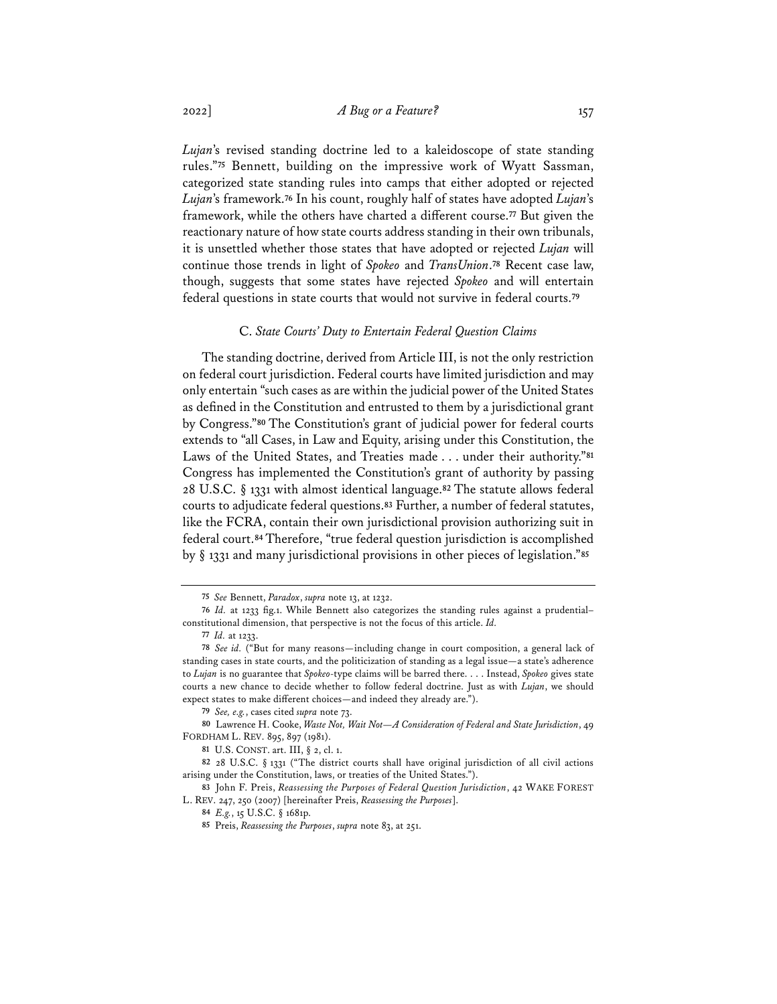*Lujan*'s revised standing doctrine led to a kaleidoscope of state standing rules."**<sup>75</sup>** Bennett, building on the impressive work of Wyatt Sassman, categorized state standing rules into camps that either adopted or rejected *Lujan*'s framework.**<sup>76</sup>** In his count, roughly half of states have adopted *Lujan*'s framework, while the others have charted a different course.**<sup>77</sup>** But given the reactionary nature of how state courts address standing in their own tribunals, it is unsettled whether those states that have adopted or rejected *Lujan* will continue those trends in light of *Spokeo* and *TransUnion*.**<sup>78</sup>** Recent case law, though, suggests that some states have rejected *Spokeo* and will entertain federal questions in state courts that would not survive in federal courts.**<sup>79</sup>**

#### C. *State Courts' Duty to Entertain Federal Question Claims*

The standing doctrine, derived from Article III, is not the only restriction on federal court jurisdiction. Federal courts have limited jurisdiction and may only entertain "such cases as are within the judicial power of the United States as defined in the Constitution and entrusted to them by a jurisdictional grant by Congress."**<sup>80</sup>** The Constitution's grant of judicial power for federal courts extends to "all Cases, in Law and Equity, arising under this Constitution, the Laws of the United States, and Treaties made . . . under their authority."**<sup>81</sup>** Congress has implemented the Constitution's grant of authority by passing 28 U.S.C. § 1331 with almost identical language.**<sup>82</sup>** The statute allows federal courts to adjudicate federal questions.**<sup>83</sup>** Further, a number of federal statutes, like the FCRA, contain their own jurisdictional provision authorizing suit in federal court.**<sup>84</sup>** Therefore, "true federal question jurisdiction is accomplished by § 1331 and many jurisdictional provisions in other pieces of legislation."**<sup>85</sup>**

**<sup>75</sup>** *See* Bennett, *Paradox*, *supra* note 13, at 1232.

**<sup>76</sup>** *Id.* at 1233 fig.1. While Bennett also categorizes the standing rules against a prudential– constitutional dimension, that perspective is not the focus of this article. *Id.*

**<sup>77</sup>** *Id.* at 1233.

**<sup>78</sup>** *See id.* ("But for many reasons—including change in court composition, a general lack of standing cases in state courts, and the politicization of standing as a legal issue—a state's adherence to *Lujan* is no guarantee that *Spokeo*-type claims will be barred there. . . . Instead, *Spokeo* gives state courts a new chance to decide whether to follow federal doctrine. Just as with *Lujan*, we should expect states to make different choices—and indeed they already are.").

**<sup>79</sup>** *See, e.g.*, cases cited *supra* note 73.

**<sup>80</sup>** Lawrence H. Cooke, *Waste Not, Wait Not—A Consideration of Federal and State Jurisdiction*, 49 FORDHAM L. REV. 895, 897 (1981).

**<sup>81</sup>** U.S. CONST. art. III, § 2, cl. 1.

**<sup>82</sup>** 28 U.S.C. § 1331 ("The district courts shall have original jurisdiction of all civil actions arising under the Constitution, laws, or treaties of the United States.").

**<sup>83</sup>** John F. Preis, *Reassessing the Purposes of Federal Question Jurisdiction*, 42 WAKE FOREST L. REV. 247, 250 (2007) [hereinafter Preis, *Reassessing the Purposes*].

**<sup>84</sup>** *E.g.*, 15 U.S.C. § 1681p.

**<sup>85</sup>** Preis, *Reassessing the Purposes*, *supra* note 83, at 251.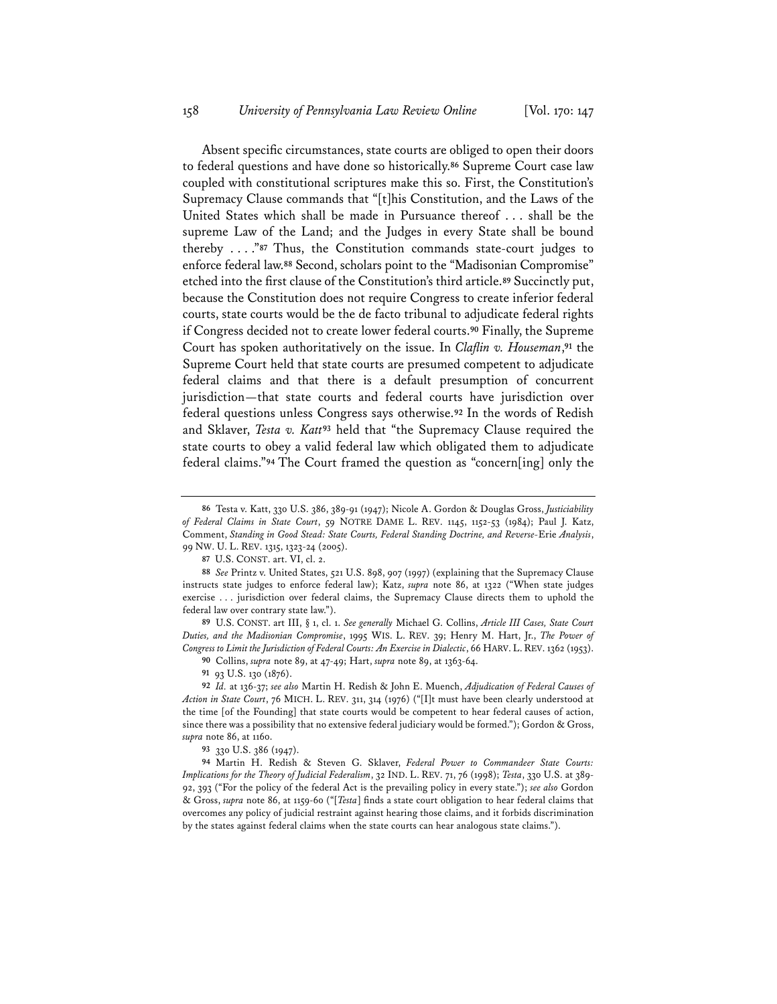Absent specific circumstances, state courts are obliged to open their doors to federal questions and have done so historically.**<sup>86</sup>** Supreme Court case law coupled with constitutional scriptures make this so. First, the Constitution's Supremacy Clause commands that "[t]his Constitution, and the Laws of the United States which shall be made in Pursuance thereof . . . shall be the supreme Law of the Land; and the Judges in every State shall be bound thereby . . . ."**<sup>87</sup>** Thus, the Constitution commands state-court judges to enforce federal law.**<sup>88</sup>** Second, scholars point to the "Madisonian Compromise" etched into the first clause of the Constitution's third article.**<sup>89</sup>** Succinctly put, because the Constitution does not require Congress to create inferior federal courts, state courts would be the de facto tribunal to adjudicate federal rights if Congress decided not to create lower federal courts.**<sup>90</sup>** Finally, the Supreme Court has spoken authoritatively on the issue. In *Clafin v. Houseman*,**<sup>91</sup>** the Supreme Court held that state courts are presumed competent to adjudicate federal claims and that there is a default presumption of concurrent jurisdiction—that state courts and federal courts have jurisdiction over federal questions unless Congress says otherwise.**<sup>92</sup>** In the words of Redish and Sklaver, *Testa v. Katt***<sup>93</sup>** held that "the Supremacy Clause required the state courts to obey a valid federal law which obligated them to adjudicate federal claims."**<sup>94</sup>** The Court framed the question as "concern[ing] only the

**89** U.S. CONST. art III, § 1, cl. 1. *See generally* Michael G. Collins, *Article III Cases, State Court Duties, and the Madisonian Compromise*, 1995 WIS. L. REV. 39; Henry M. Hart, Jr., *The Power of Congress to Limit the Jurisdiction of Federal Courts: An Exercise in Dialectic*, 66 HARV. L. REV. 1362 (1953).

**90** Collins, *supra* note 89, at 47-49; Hart, *supra* note 89, at 1363-64.

**91** 93 U.S. 130 (1876).

**93** 330 U.S. 386 (1947).

**94** Martin H. Redish & Steven G. Sklaver, *Federal Power to Commandeer State Courts: Implications for the Theory of Judicial Federalism*, 32 IND. L. REV. 71, 76 (1998); *Testa*, 330 U.S. at 389- 92, 393 ("For the policy of the federal Act is the prevailing policy in every state."); *see also* Gordon & Gross, *supra* note 86, at 1159-60 ("[*Testa*] finds a state court obligation to hear federal claims that overcomes any policy of judicial restraint against hearing those claims, and it forbids discrimination by the states against federal claims when the state courts can hear analogous state claims.").

**<sup>86</sup>** Testa v. Katt, 330 U.S. 386, 389-91 (1947); Nicole A. Gordon & Douglas Gross, *Justiciability of Federal Claims in State Court*, 59 NOTRE DAME L. REV. 1145, 1152-53 (1984); Paul J. Katz, Comment, *Standing in Good Stead: State Courts, Federal Standing Doctrine, and Reverse-*Erie *Analysis*, 99 NW. U. L. REV. 1315, 1323-24 (2005).

**<sup>87</sup>** U.S. CONST. art. VI, cl. 2.

**<sup>88</sup>** *See* Printz v. United States, 521 U.S. 898, 907 (1997) (explaining that the Supremacy Clause instructs state judges to enforce federal law); Katz, *supra* note 86, at 1322 ("When state judges exercise . . . jurisdiction over federal claims, the Supremacy Clause directs them to uphold the federal law over contrary state law.").

**<sup>92</sup>** *Id.* at 136-37; *see also* Martin H. Redish & John E. Muench, *Adjudication of Federal Causes of Action in State Court*, 76 MICH. L. REV. 311, 314 (1976) ("[I]t must have been clearly understood at the time [of the Founding] that state courts would be competent to hear federal causes of action, since there was a possibility that no extensive federal judiciary would be formed."); Gordon & Gross, *supra* note 86, at 1160.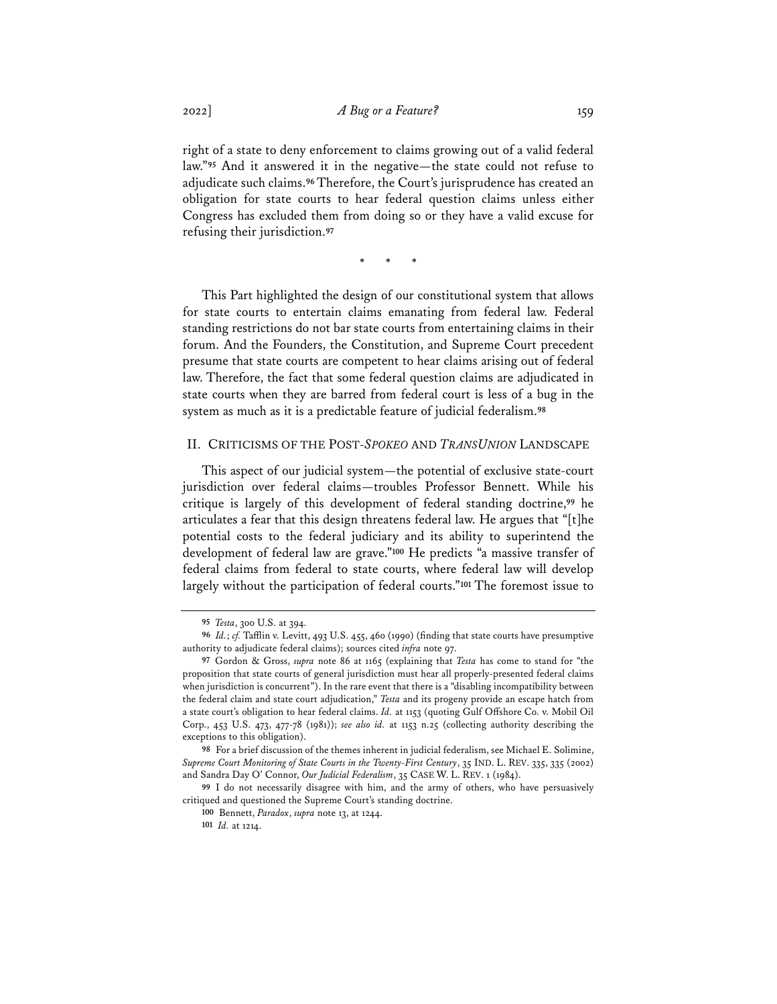right of a state to deny enforcement to claims growing out of a valid federal law."**<sup>95</sup>** And it answered it in the negative—the state could not refuse to adjudicate such claims.**<sup>96</sup>** Therefore, the Court's jurisprudence has created an obligation for state courts to hear federal question claims unless either Congress has excluded them from doing so or they have a valid excuse for refusing their jurisdiction.**<sup>97</sup>**

\* \* \*

This Part highlighted the design of our constitutional system that allows for state courts to entertain claims emanating from federal law. Federal standing restrictions do not bar state courts from entertaining claims in their forum. And the Founders, the Constitution, and Supreme Court precedent presume that state courts are competent to hear claims arising out of federal law. Therefore, the fact that some federal question claims are adjudicated in state courts when they are barred from federal court is less of a bug in the system as much as it is a predictable feature of judicial federalism.**<sup>98</sup>**

### II. CRITICISMS OF THE POST-*SPOKEO* AND *TRANSUNION* LANDSCAPE

This aspect of our judicial system—the potential of exclusive state-court jurisdiction over federal claims—troubles Professor Bennett. While his critique is largely of this development of federal standing doctrine,**<sup>99</sup>** he articulates a fear that this design threatens federal law. He argues that "[t]he potential costs to the federal judiciary and its ability to superintend the development of federal law are grave."**<sup>100</sup>** He predicts "a massive transfer of federal claims from federal to state courts, where federal law will develop largely without the participation of federal courts."**<sup>101</sup>** The foremost issue to

**<sup>95</sup>** *Testa*, 300 U.S. at 394.

**<sup>96</sup>** *Id.*; *cf.* Tafflin v. Levitt, 493 U.S. 455, 460 (1990) (finding that state courts have presumptive authority to adjudicate federal claims); sources cited *infra* note 97.

**<sup>97</sup>** Gordon & Gross, *supra* note 86 at 1165 (explaining that *Testa* has come to stand for "the proposition that state courts of general jurisdiction must hear all properly-presented federal claims when jurisdiction is concurrent"). In the rare event that there is a "disabling incompatibility between the federal claim and state court adjudication," *Testa* and its progeny provide an escape hatch from a state court's obligation to hear federal claims. *Id.* at 1153 (quoting Gulf Offshore Co. v. Mobil Oil Corp., 453 U.S. 473, 477-78 (1981)); *see also id.* at 1153 n.25 (collecting authority describing the exceptions to this obligation).

**<sup>98</sup>** For a brief discussion of the themes inherent in judicial federalism, see Michael E. Solimine, *Supreme Court Monitoring of State Courts in the Twenty-First Century*, 35 IND. L. REV. 335, 335 (2002) and Sandra Day O' Connor, *Our Judicial Federalism*, 35 CASE W. L. REV. 1 (1984).

**<sup>99</sup>** I do not necessarily disagree with him, and the army of others, who have persuasively critiqued and questioned the Supreme Court's standing doctrine.

**<sup>100</sup>** Bennett, *Paradox*, *supra* note 13, at 1244.

**<sup>101</sup>** *Id.* at 1214.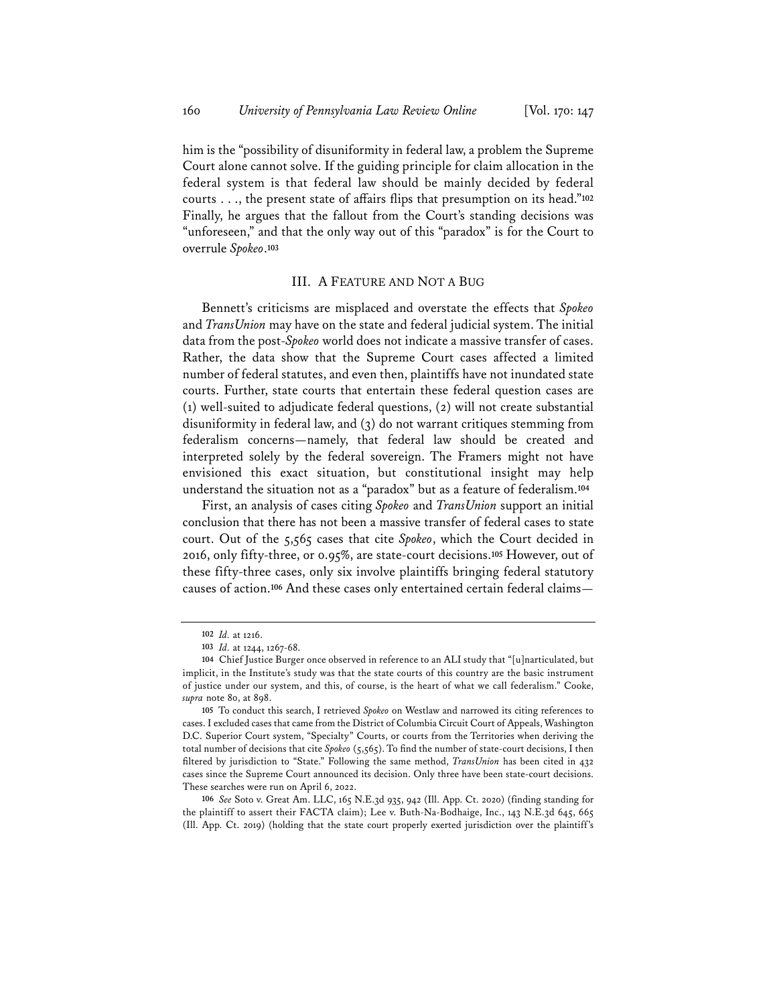him is the "possibility of disuniformity in federal law, a problem the Supreme Court alone cannot solve. If the guiding principle for claim allocation in the federal system is that federal law should be mainly decided by federal courts . . ., the present state of affairs flips that presumption on its head."**<sup>102</sup>** Finally, he argues that the fallout from the Court's standing decisions was "unforeseen," and that the only way out of this "paradox" is for the Court to overrule *Spokeo*.**<sup>103</sup>**

## III. A FEATURE AND NOT A BUG

Bennett's criticisms are misplaced and overstate the effects that *Spokeo* and *TransUnion* may have on the state and federal judicial system. The initial data from the post-*Spokeo* world does not indicate a massive transfer of cases. Rather, the data show that the Supreme Court cases affected a limited number of federal statutes, and even then, plaintiffs have not inundated state courts. Further, state courts that entertain these federal question cases are (1) well-suited to adjudicate federal questions, (2) will not create substantial disuniformity in federal law, and (3) do not warrant critiques stemming from federalism concerns—namely, that federal law should be created and interpreted solely by the federal sovereign. The Framers might not have envisioned this exact situation, but constitutional insight may help understand the situation not as a "paradox" but as a feature of federalism.**<sup>104</sup>**

First, an analysis of cases citing *Spokeo* and *TransUnion* support an initial conclusion that there has not been a massive transfer of federal cases to state court. Out of the 5,565 cases that cite *Spokeo*, which the Court decided in 2016, only fifty-three, or 0.95%, are state-court decisions.**<sup>105</sup>** However, out of these fifty-three cases, only six involve plaintiffs bringing federal statutory causes of action.**<sup>106</sup>** And these cases only entertained certain federal claims—

**106** *See* Soto v. Great Am. LLC, 165 N.E.3d 935, 942 (Ill. App. Ct. 2020) (finding standing for the plaintiff to assert their FACTA claim); Lee v. Buth-Na-Bodhaige, Inc., 143 N.E.3d 645, 665 (Ill. App. Ct. 2019) (holding that the state court properly exerted jurisdiction over the plaintiff's

**<sup>102</sup>** *Id.* at 1216.

**<sup>103</sup>** *Id.* at 1244, 1267-68.

**<sup>104</sup>** Chief Justice Burger once observed in reference to an ALI study that "[u]narticulated, but implicit, in the Institute's study was that the state courts of this country are the basic instrument of justice under our system, and this, of course, is the heart of what we call federalism." Cooke, *supra* note 80, at 898.

**<sup>105</sup>** To conduct this search, I retrieved *Spokeo* on Westlaw and narrowed its citing references to cases. I excluded cases that came from the District of Columbia Circuit Court of Appeals, Washington D.C. Superior Court system, "Specialty" Courts, or courts from the Territories when deriving the total number of decisions that cite *Spokeo* (5,565). To find the number of state-court decisions, I then filtered by jurisdiction to "State." Following the same method, *TransUnion* has been cited in 432 cases since the Supreme Court announced its decision. Only three have been state-court decisions. These searches were run on April 6, 2022.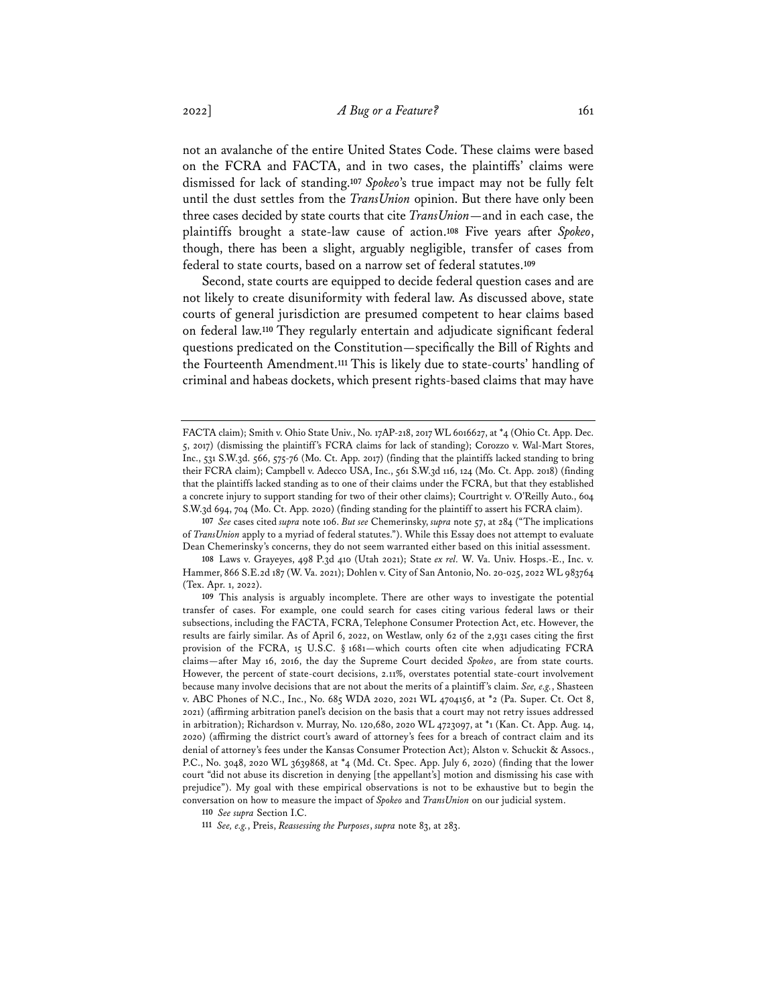not an avalanche of the entire United States Code. These claims were based on the FCRA and FACTA, and in two cases, the plaintiffs' claims were dismissed for lack of standing.**<sup>107</sup>** *Spokeo*'s true impact may not be fully felt until the dust settles from the *TransUnion* opinion. But there have only been three cases decided by state courts that cite *TransUnion*—and in each case, the plaintiffs brought a state-law cause of action.**<sup>108</sup>** Five years after *Spokeo*, though, there has been a slight, arguably negligible, transfer of cases from federal to state courts, based on a narrow set of federal statutes.**<sup>109</sup>**

Second, state courts are equipped to decide federal question cases and are not likely to create disuniformity with federal law. As discussed above, state courts of general jurisdiction are presumed competent to hear claims based on federal law.**<sup>110</sup>** They regularly entertain and adjudicate significant federal questions predicated on the Constitution—specifically the Bill of Rights and the Fourteenth Amendment.**<sup>111</sup>** This is likely due to state-courts' handling of criminal and habeas dockets, which present rights-based claims that may have

**107** *See* cases cited *supra* note 106. *But see* Chemerinsky, *supra* note 57, at 284 ("The implications of *TransUnion* apply to a myriad of federal statutes."). While this Essay does not attempt to evaluate Dean Chemerinsky's concerns, they do not seem warranted either based on this initial assessment.

**108** Laws v. Grayeyes, 498 P.3d 410 (Utah 2021); State *ex rel.* W. Va. Univ. Hosps.-E., Inc. v. Hammer, 866 S.E.2d 187 (W. Va. 2021); Dohlen v. City of San Antonio, No. 20-025, 2022 WL 983764 (Tex. Apr. 1, 2022).

FACTA claim); Smith v. Ohio State Univ., No. 17AP-218, 2017 WL 6016627, at \*4 (Ohio Ct. App. Dec. 5, 2017) (dismissing the plaintiff's FCRA claims for lack of standing); Corozzo v. Wal-Mart Stores, Inc., 531 S.W.3d. 566, 575-76 (Mo. Ct. App. 2017) (finding that the plaintiffs lacked standing to bring their FCRA claim); Campbell v. Adecco USA, Inc., 561 S.W.3d 116, 124 (Mo. Ct. App. 2018) (finding that the plaintiffs lacked standing as to one of their claims under the FCRA, but that they established a concrete injury to support standing for two of their other claims); Courtright v. O'Reilly Auto., 604 S.W.3d 694, 704 (Mo. Ct. App. 2020) (finding standing for the plaintiff to assert his FCRA claim).

**<sup>109</sup>** This analysis is arguably incomplete. There are other ways to investigate the potential transfer of cases. For example, one could search for cases citing various federal laws or their subsections, including the FACTA, FCRA, Telephone Consumer Protection Act, etc. However, the results are fairly similar. As of April 6, 2022, on Westlaw, only 62 of the 2,931 cases citing the first provision of the FCRA, 15 U.S.C. § 1681—which courts often cite when adjudicating FCRA claims—after May 16, 2016, the day the Supreme Court decided *Spokeo*, are from state courts. However, the percent of state-court decisions, 2.11%, overstates potential state-court involvement because many involve decisions that are not about the merits of a plaintiff's claim. *See, e.g.*, Shasteen v. ABC Phones of N.C., Inc., No. 685 WDA 2020, 2021 WL 4704156, at \*2 (Pa. Super. Ct. Oct 8, 2021) (affirming arbitration panel's decision on the basis that a court may not retry issues addressed in arbitration); Richardson v. Murray, No. 120,680, 2020 WL 4723097, at \*1 (Kan. Ct. App. Aug. 14, 2020) (affirming the district court's award of attorney's fees for a breach of contract claim and its denial of attorney's fees under the Kansas Consumer Protection Act); Alston v. Schuckit & Assocs., P.C., No. 3048, 2020 WL 3639868, at \*4 (Md. Ct. Spec. App. July 6, 2020) (finding that the lower court "did not abuse its discretion in denying [the appellant's] motion and dismissing his case with prejudice"). My goal with these empirical observations is not to be exhaustive but to begin the conversation on how to measure the impact of *Spokeo* and *TransUnion* on our judicial system.

**<sup>110</sup>** *See supra* Section I.C.

**<sup>111</sup>** *See, e.g.*, Preis, *Reassessing the Purposes*, *supra* note 83, at 283.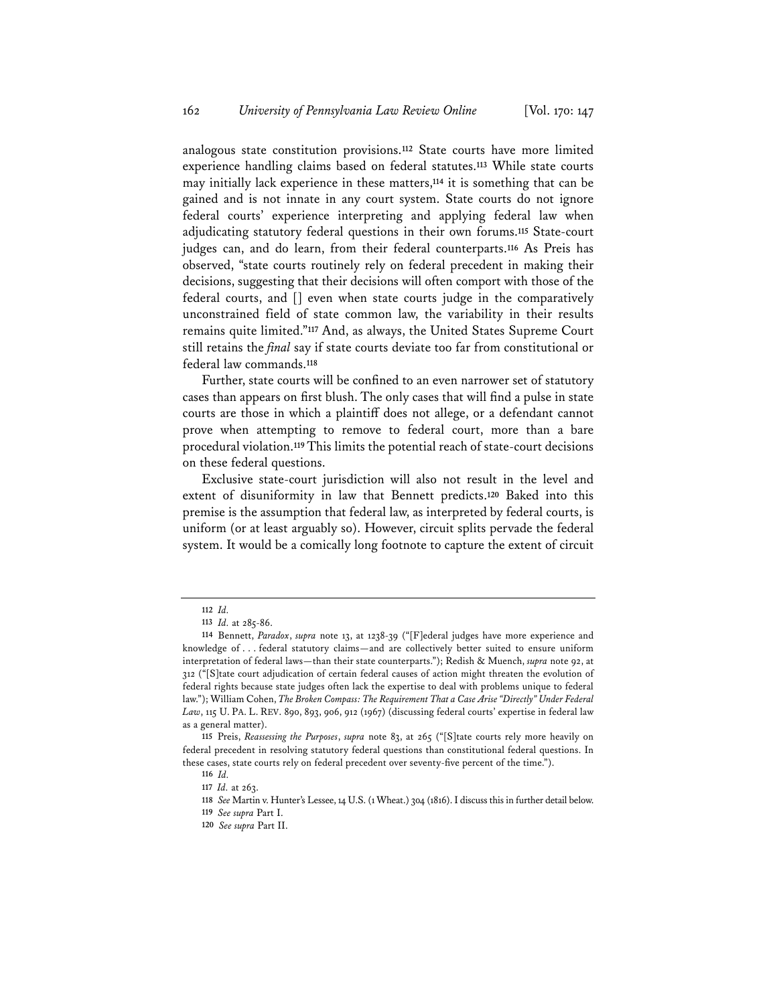analogous state constitution provisions.**<sup>112</sup>** State courts have more limited experience handling claims based on federal statutes.**<sup>113</sup>** While state courts may initially lack experience in these matters,**<sup>114</sup>** it is something that can be gained and is not innate in any court system. State courts do not ignore federal courts' experience interpreting and applying federal law when adjudicating statutory federal questions in their own forums.**<sup>115</sup>** State-court judges can, and do learn, from their federal counterparts.**<sup>116</sup>** As Preis has observed, "state courts routinely rely on federal precedent in making their decisions, suggesting that their decisions will often comport with those of the federal courts, and [] even when state courts judge in the comparatively unconstrained field of state common law, the variability in their results remains quite limited."**<sup>117</sup>** And, as always, the United States Supreme Court still retains the *final* say if state courts deviate too far from constitutional or federal law commands.**<sup>118</sup>**

Further, state courts will be confined to an even narrower set of statutory cases than appears on first blush. The only cases that will find a pulse in state courts are those in which a plaintiff does not allege, or a defendant cannot prove when attempting to remove to federal court, more than a bare procedural violation.**119**This limits the potential reach of state-court decisions on these federal questions.

Exclusive state-court jurisdiction will also not result in the level and extent of disuniformity in law that Bennett predicts.**<sup>120</sup>** Baked into this premise is the assumption that federal law, as interpreted by federal courts, is uniform (or at least arguably so). However, circuit splits pervade the federal system. It would be a comically long footnote to capture the extent of circuit

**<sup>112</sup>** *Id.*

**<sup>113</sup>** *Id.* at 285-86.

**<sup>114</sup>** Bennett, *Paradox*, *supra* note 13, at 1238-39 ("[F]ederal judges have more experience and knowledge of . . . federal statutory claims—and are collectively better suited to ensure uniform interpretation of federal laws—than their state counterparts."); Redish & Muench, *supra* note 92, at 312 ("[S]tate court adjudication of certain federal causes of action might threaten the evolution of federal rights because state judges often lack the expertise to deal with problems unique to federal law."); William Cohen, *The Broken Compass: The Requirement That a Case Arise "Directly" Under Federal Law*, 115 U. PA. L. REV. 890, 893, 906, 912 (1967) (discussing federal courts' expertise in federal law as a general matter).

**<sup>115</sup>** Preis, *Reassessing the Purposes*, *supra* note 83, at 265 ("[S]tate courts rely more heavily on federal precedent in resolving statutory federal questions than constitutional federal questions. In these cases, state courts rely on federal precedent over seventy-five percent of the time.").

**<sup>116</sup>** *Id.*

**<sup>117</sup>** *Id.* at 263.

**<sup>118</sup>** *See* Martin v. Hunter's Lessee, 14 U.S. (1 Wheat.) 304 (1816). I discuss this in further detail below.

**<sup>119</sup>** *See supra* Part I.

**<sup>120</sup>** *See supra* Part II.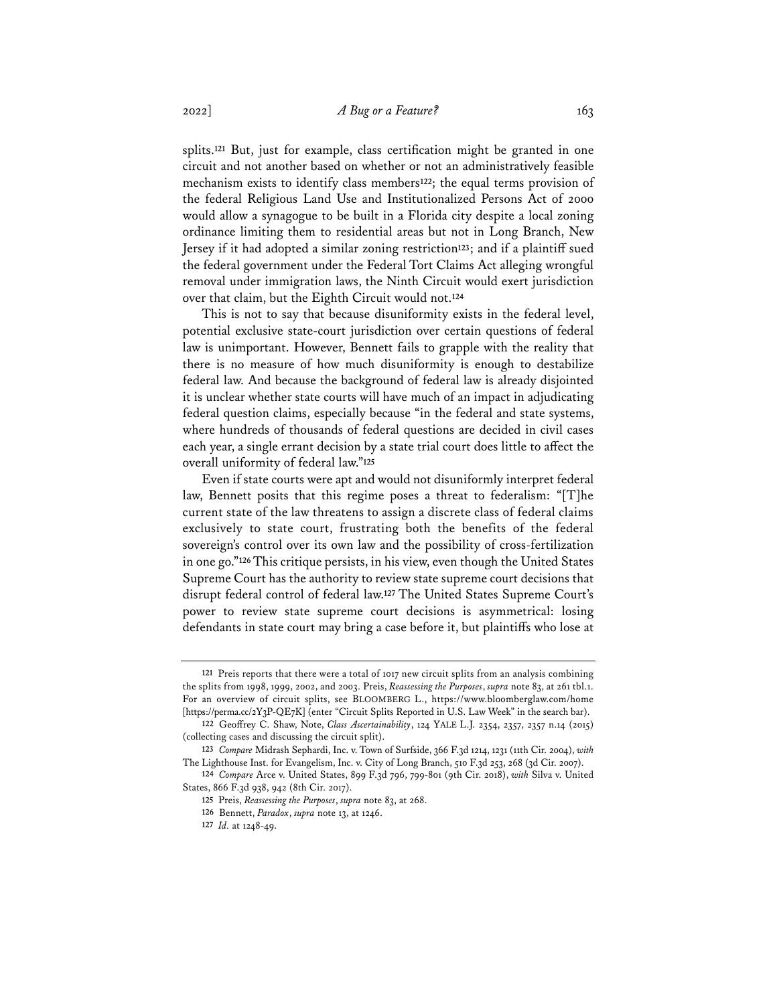splits.**<sup>121</sup>** But, just for example, class certification might be granted in one circuit and not another based on whether or not an administratively feasible mechanism exists to identify class members**122**; the equal terms provision of the federal Religious Land Use and Institutionalized Persons Act of 2000 would allow a synagogue to be built in a Florida city despite a local zoning ordinance limiting them to residential areas but not in Long Branch, New Jersey if it had adopted a similar zoning restriction**123**; and if a plaintiff sued the federal government under the Federal Tort Claims Act alleging wrongful removal under immigration laws, the Ninth Circuit would exert jurisdiction over that claim, but the Eighth Circuit would not.**<sup>124</sup>**

This is not to say that because disuniformity exists in the federal level, potential exclusive state-court jurisdiction over certain questions of federal law is unimportant. However, Bennett fails to grapple with the reality that there is no measure of how much disuniformity is enough to destabilize federal law. And because the background of federal law is already disjointed it is unclear whether state courts will have much of an impact in adjudicating federal question claims, especially because "in the federal and state systems, where hundreds of thousands of federal questions are decided in civil cases each year, a single errant decision by a state trial court does little to affect the overall uniformity of federal law."**<sup>125</sup>**

Even if state courts were apt and would not disuniformly interpret federal law, Bennett posits that this regime poses a threat to federalism: "[T]he current state of the law threatens to assign a discrete class of federal claims exclusively to state court, frustrating both the benefits of the federal sovereign's control over its own law and the possibility of cross-fertilization in one go."**126**This critique persists, in his view, even though the United States Supreme Court has the authority to review state supreme court decisions that disrupt federal control of federal law.**<sup>127</sup>** The United States Supreme Court's power to review state supreme court decisions is asymmetrical: losing defendants in state court may bring a case before it, but plaintiffs who lose at

**<sup>121</sup>** Preis reports that there were a total of 1017 new circuit splits from an analysis combining the splits from 1998, 1999, 2002, and 2003. Preis, *Reassessing the Purposes*, *supra* note 83, at 261 tbl.1. For an overview of circuit splits, see BLOOMBERG L., https://www.bloomberglaw.com/home [https://perma.cc/2Y3P-QE7K] (enter "Circuit Splits Reported in U.S. Law Week" in the search bar).

**<sup>122</sup>** Geoffrey C. Shaw, Note, *Class Ascertainability*, 124 YALE L.J. 2354, 2357, 2357 n.14 (2015) (collecting cases and discussing the circuit split).

**<sup>123</sup>** *Compare* Midrash Sephardi, Inc. v. Town of Surfside, 366 F.3d 1214, 1231 (11th Cir. 2004), *with* The Lighthouse Inst. for Evangelism, Inc. v. City of Long Branch, 510 F.3d 253, 268 (3d Cir. 2007).

**<sup>124</sup>** *Compare* Arce v. United States, 899 F.3d 796, 799-801 (9th Cir. 2018), *with* Silva v. United States, 866 F.3d 938, 942 (8th Cir. 2017).

**<sup>125</sup>** Preis, *Reassessing the Purposes*, *supra* note 83, at 268.

**<sup>126</sup>** Bennett, *Paradox*, *supra* note 13, at 1246.

**<sup>127</sup>** *Id.* at 1248-49.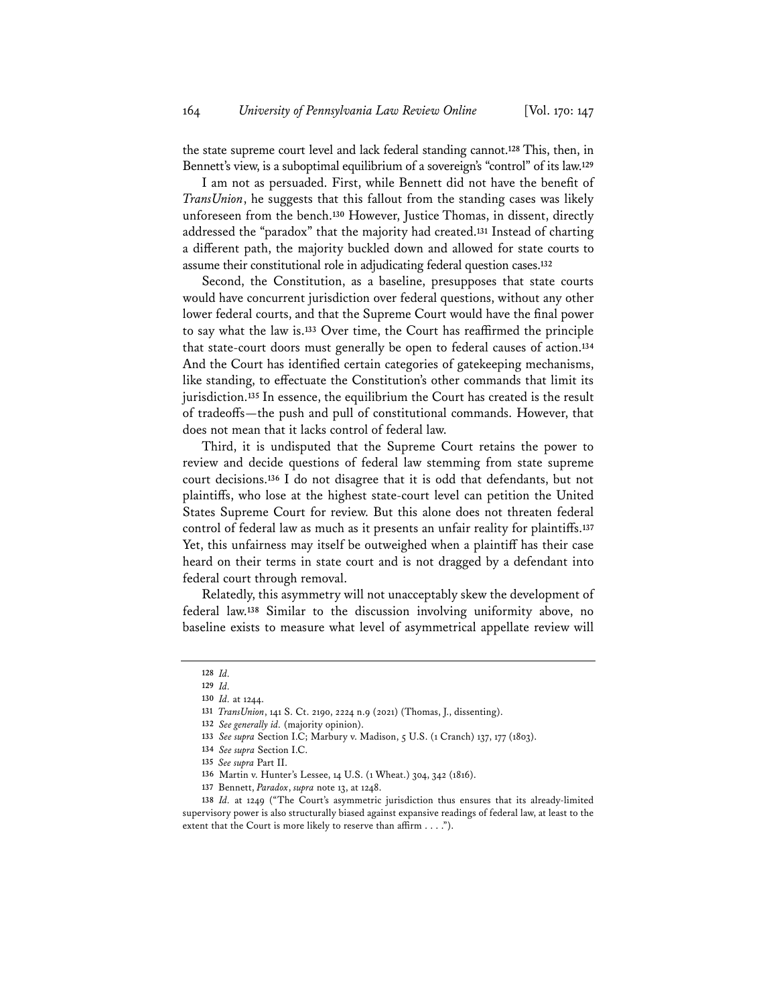the state supreme court level and lack federal standing cannot.**<sup>128</sup>** This, then, in Bennett's view, is a suboptimal equilibrium of a sovereign's "control" of its law.**<sup>129</sup>**

I am not as persuaded. First, while Bennett did not have the benefit of *TransUnion*, he suggests that this fallout from the standing cases was likely unforeseen from the bench.**<sup>130</sup>** However, Justice Thomas, in dissent, directly addressed the "paradox" that the majority had created.**<sup>131</sup>** Instead of charting a different path, the majority buckled down and allowed for state courts to assume their constitutional role in adjudicating federal question cases.**<sup>132</sup>**

Second, the Constitution, as a baseline, presupposes that state courts would have concurrent jurisdiction over federal questions, without any other lower federal courts, and that the Supreme Court would have the final power to say what the law is.**<sup>133</sup>** Over time, the Court has reaffirmed the principle that state-court doors must generally be open to federal causes of action.**<sup>134</sup>** And the Court has identified certain categories of gatekeeping mechanisms, like standing, to effectuate the Constitution's other commands that limit its jurisdiction.**<sup>135</sup>** In essence, the equilibrium the Court has created is the result of tradeoffs—the push and pull of constitutional commands. However, that does not mean that it lacks control of federal law.

Third, it is undisputed that the Supreme Court retains the power to review and decide questions of federal law stemming from state supreme court decisions.**<sup>136</sup>** I do not disagree that it is odd that defendants, but not plaintiffs, who lose at the highest state-court level can petition the United States Supreme Court for review. But this alone does not threaten federal control of federal law as much as it presents an unfair reality for plaintiffs.**<sup>137</sup>** Yet, this unfairness may itself be outweighed when a plaintiff has their case heard on their terms in state court and is not dragged by a defendant into federal court through removal.

Relatedly, this asymmetry will not unacceptably skew the development of federal law.**<sup>138</sup>** Similar to the discussion involving uniformity above, no baseline exists to measure what level of asymmetrical appellate review will

**<sup>128</sup>** *Id.*

**<sup>129</sup>** *Id.* **130** *Id.* at 1244.

**<sup>131</sup>** *TransUnion*, 141 S. Ct. 2190, 2224 n.9 (2021) (Thomas, J., dissenting).

**<sup>132</sup>** *See generally id.* (majority opinion).

**<sup>133</sup>** *See supra* Section I.C; Marbury v. Madison, 5 U.S. (1 Cranch) 137, 177 (1803).

**<sup>134</sup>** *See supra* Section I.C.

**<sup>135</sup>** *See supra* Part II.

**<sup>136</sup>** Martin v. Hunter's Lessee, 14 U.S. (1 Wheat.) 304, 342 (1816).

**<sup>137</sup>** Bennett, *Paradox*, *supra* note 13, at 1248.

**<sup>138</sup>** *Id.* at 1249 ("The Court's asymmetric jurisdiction thus ensures that its already-limited supervisory power is also structurally biased against expansive readings of federal law, at least to the extent that the Court is more likely to reserve than affirm . . . .").